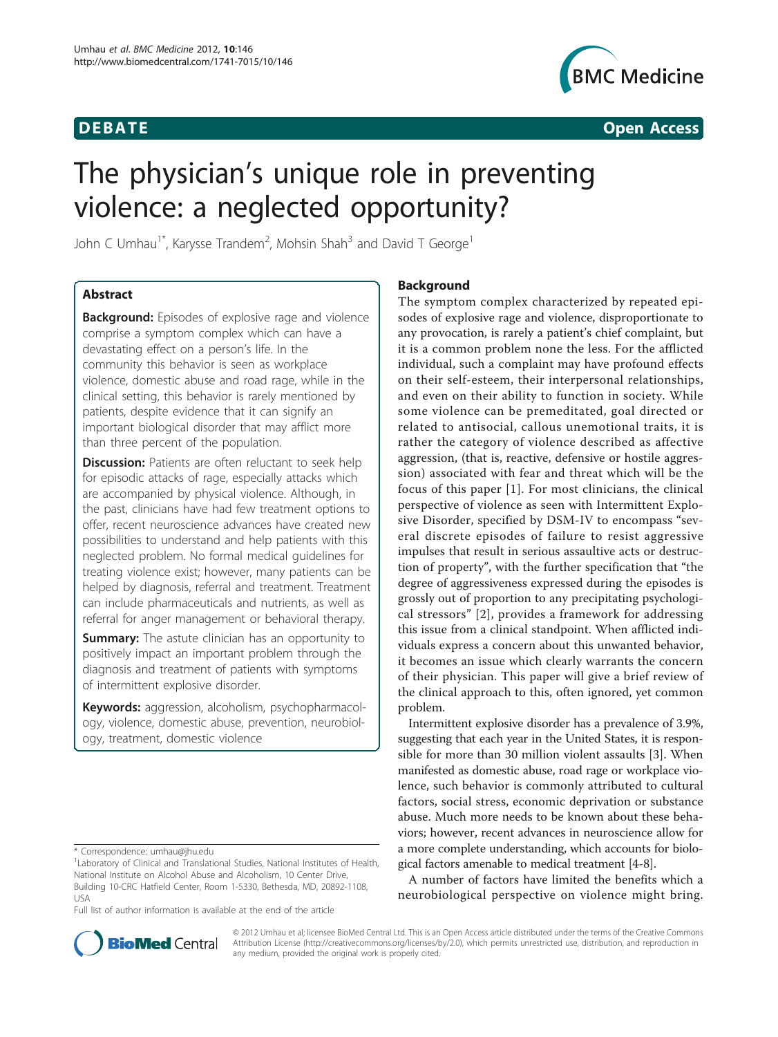



# The physician's unique role in preventing violence: a neglected opportunity?

John C Umhau<sup>1\*</sup>, Karysse Trandem<sup>2</sup>, Mohsin Shah<sup>3</sup> and David T George<sup>1</sup>

# Abstract

**Background:** Episodes of explosive rage and violence comprise a symptom complex which can have a devastating effect on a person's life. In the community this behavior is seen as workplace violence, domestic abuse and road rage, while in the clinical setting, this behavior is rarely mentioned by patients, despite evidence that it can signify an important biological disorder that may afflict more than three percent of the population.

**Discussion:** Patients are often reluctant to seek help for episodic attacks of rage, especially attacks which are accompanied by physical violence. Although, in the past, clinicians have had few treatment options to offer, recent neuroscience advances have created new possibilities to understand and help patients with this neglected problem. No formal medical guidelines for treating violence exist; however, many patients can be helped by diagnosis, referral and treatment. Treatment can include pharmaceuticals and nutrients, as well as referral for anger management or behavioral therapy.

**Summary:** The astute clinician has an opportunity to positively impact an important problem through the diagnosis and treatment of patients with symptoms of intermittent explosive disorder.

Keywords: aggression, alcoholism, psychopharmacology, violence, domestic abuse, prevention, neurobiology, treatment, domestic violence

Full list of author information is available at the end of the article



# Background

The symptom complex characterized by repeated episodes of explosive rage and violence, disproportionate to any provocation, is rarely a patient's chief complaint, but it is a common problem none the less. For the afflicted individual, such a complaint may have profound effects on their self-esteem, their interpersonal relationships, and even on their ability to function in society. While some violence can be premeditated, goal directed or related to antisocial, callous unemotional traits, it is rather the category of violence described as affective aggression, (that is, reactive, defensive or hostile aggression) associated with fear and threat which will be the focus of this paper [[1\]](#page-5-0). For most clinicians, the clinical perspective of violence as seen with Intermittent Explosive Disorder, specified by DSM-IV to encompass "several discrete episodes of failure to resist aggressive impulses that result in serious assaultive acts or destruction of property", with the further specification that "the degree of aggressiveness expressed during the episodes is grossly out of proportion to any precipitating psychological stressors" [\[2\]](#page-5-0), provides a framework for addressing this issue from a clinical standpoint. When afflicted individuals express a concern about this unwanted behavior, it becomes an issue which clearly warrants the concern of their physician. This paper will give a brief review of the clinical approach to this, often ignored, yet common problem.

Intermittent explosive disorder has a prevalence of 3.9%, suggesting that each year in the United States, it is responsible for more than 30 million violent assaults [\[3](#page-5-0)]. When manifested as domestic abuse, road rage or workplace violence, such behavior is commonly attributed to cultural factors, social stress, economic deprivation or substance abuse. Much more needs to be known about these behaviors; however, recent advances in neuroscience allow for a more complete understanding, which accounts for biological factors amenable to medical treatment [\[4](#page-5-0)-[8](#page-5-0)].

A number of factors have limited the benefits which a neurobiological perspective on violence might bring.

© 2012 Umhau et al; licensee BioMed Central Ltd. This is an Open Access article distributed under the terms of the Creative Commons Attribution License [\(http://creativecommons.org/licenses/by/2.0](http://creativecommons.org/licenses/by/2.0)), which permits unrestricted use, distribution, and reproduction in any medium, provided the original work is properly cited.

<sup>\*</sup> Correspondence: [umhau@jhu.edu](mailto:umhau@jhu.edu)

<sup>&</sup>lt;sup>1</sup> Laboratory of Clinical and Translational Studies, National Institutes of Health, National Institute on Alcohol Abuse and Alcoholism, 10 Center Drive, Building 10-CRC Hatfield Center, Room 1-5330, Bethesda, MD, 20892-1108, USA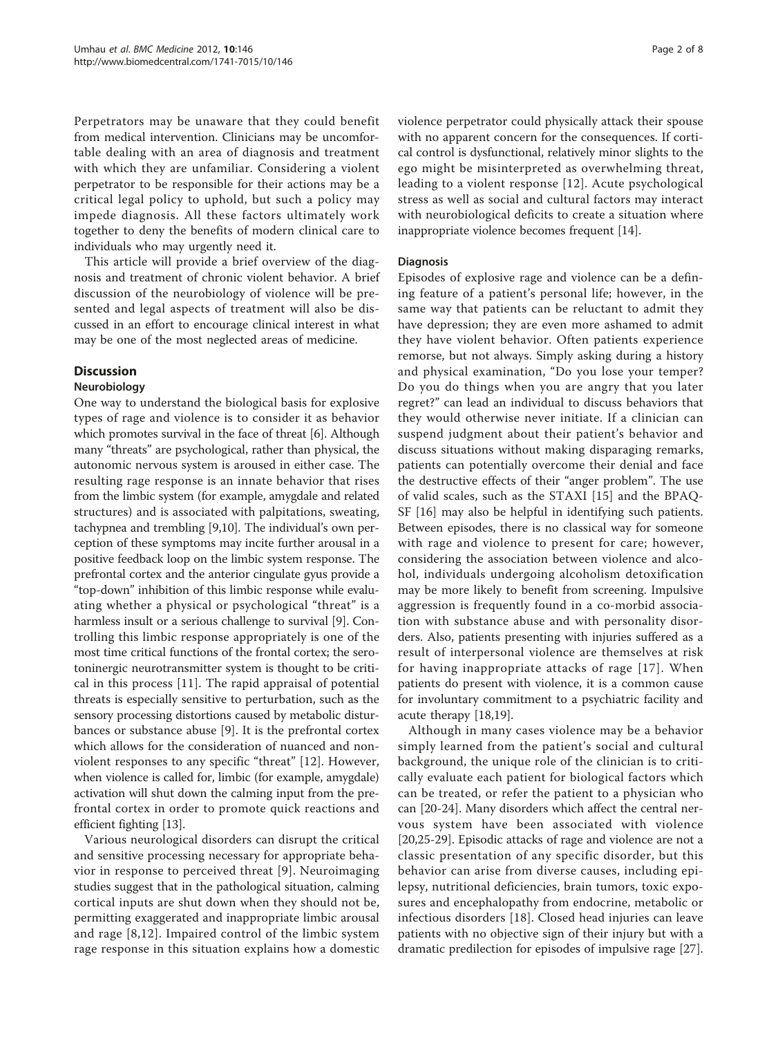Perpetrators may be unaware that they could benefit from medical intervention. Clinicians may be uncomfortable dealing with an area of diagnosis and treatment with which they are unfamiliar. Considering a violent perpetrator to be responsible for their actions may be a critical legal policy to uphold, but such a policy may impede diagnosis. All these factors ultimately work together to deny the benefits of modern clinical care to individuals who may urgently need it.

This article will provide a brief overview of the diagnosis and treatment of chronic violent behavior. A brief discussion of the neurobiology of violence will be presented and legal aspects of treatment will also be discussed in an effort to encourage clinical interest in what may be one of the most neglected areas of medicine.

# **Discussion**

# Neurobiology

One way to understand the biological basis for explosive types of rage and violence is to consider it as behavior which promotes survival in the face of threat [\[6](#page-5-0)]. Although many "threats" are psychological, rather than physical, the autonomic nervous system is aroused in either case. The resulting rage response is an innate behavior that rises from the limbic system (for example, amygdale and related structures) and is associated with palpitations, sweating, tachypnea and trembling [[9](#page-5-0),[10](#page-5-0)]. The individual's own perception of these symptoms may incite further arousal in a positive feedback loop on the limbic system response. The prefrontal cortex and the anterior cingulate gyus provide a "top-down" inhibition of this limbic response while evaluating whether a physical or psychological "threat" is a harmless insult or a serious challenge to survival [\[9](#page-5-0)]. Controlling this limbic response appropriately is one of the most time critical functions of the frontal cortex; the serotoninergic neurotransmitter system is thought to be critical in this process [[11\]](#page-5-0). The rapid appraisal of potential threats is especially sensitive to perturbation, such as the sensory processing distortions caused by metabolic disturbances or substance abuse [\[9](#page-5-0)]. It is the prefrontal cortex which allows for the consideration of nuanced and nonviolent responses to any specific "threat" [[12\]](#page-5-0). However, when violence is called for, limbic (for example, amygdale) activation will shut down the calming input from the prefrontal cortex in order to promote quick reactions and efficient fighting [\[13\]](#page-5-0).

Various neurological disorders can disrupt the critical and sensitive processing necessary for appropriate behavior in response to perceived threat [[9\]](#page-5-0). Neuroimaging studies suggest that in the pathological situation, calming cortical inputs are shut down when they should not be, permitting exaggerated and inappropriate limbic arousal and rage [[8](#page-5-0),[12](#page-5-0)]. Impaired control of the limbic system rage response in this situation explains how a domestic violence perpetrator could physically attack their spouse with no apparent concern for the consequences. If cortical control is dysfunctional, relatively minor slights to the ego might be misinterpreted as overwhelming threat, leading to a violent response [[12](#page-5-0)]. Acute psychological stress as well as social and cultural factors may interact with neurobiological deficits to create a situation where inappropriate violence becomes frequent [\[14\]](#page-5-0).

# **Diagnosis**

Episodes of explosive rage and violence can be a defining feature of a patient's personal life; however, in the same way that patients can be reluctant to admit they have depression; they are even more ashamed to admit they have violent behavior. Often patients experience remorse, but not always. Simply asking during a history and physical examination, "Do you lose your temper? Do you do things when you are angry that you later regret?" can lead an individual to discuss behaviors that they would otherwise never initiate. If a clinician can suspend judgment about their patient's behavior and discuss situations without making disparaging remarks, patients can potentially overcome their denial and face the destructive effects of their "anger problem". The use of valid scales, such as the STAXI [\[15](#page-5-0)] and the BPAQ-SF [[16](#page-5-0)] may also be helpful in identifying such patients. Between episodes, there is no classical way for someone with rage and violence to present for care; however, considering the association between violence and alcohol, individuals undergoing alcoholism detoxification may be more likely to benefit from screening. Impulsive aggression is frequently found in a co-morbid association with substance abuse and with personality disorders. Also, patients presenting with injuries suffered as a result of interpersonal violence are themselves at risk for having inappropriate attacks of rage [[17](#page-5-0)]. When patients do present with violence, it is a common cause for involuntary commitment to a psychiatric facility and acute therapy [\[18,19](#page-5-0)].

Although in many cases violence may be a behavior simply learned from the patient's social and cultural background, the unique role of the clinician is to critically evaluate each patient for biological factors which can be treated, or refer the patient to a physician who can [[20-24](#page-5-0)]. Many disorders which affect the central nervous system have been associated with violence [[20,25-29\]](#page-5-0). Episodic attacks of rage and violence are not a classic presentation of any specific disorder, but this behavior can arise from diverse causes, including epilepsy, nutritional deficiencies, brain tumors, toxic exposures and encephalopathy from endocrine, metabolic or infectious disorders [\[18](#page-5-0)]. Closed head injuries can leave patients with no objective sign of their injury but with a dramatic predilection for episodes of impulsive rage [\[27](#page-5-0)].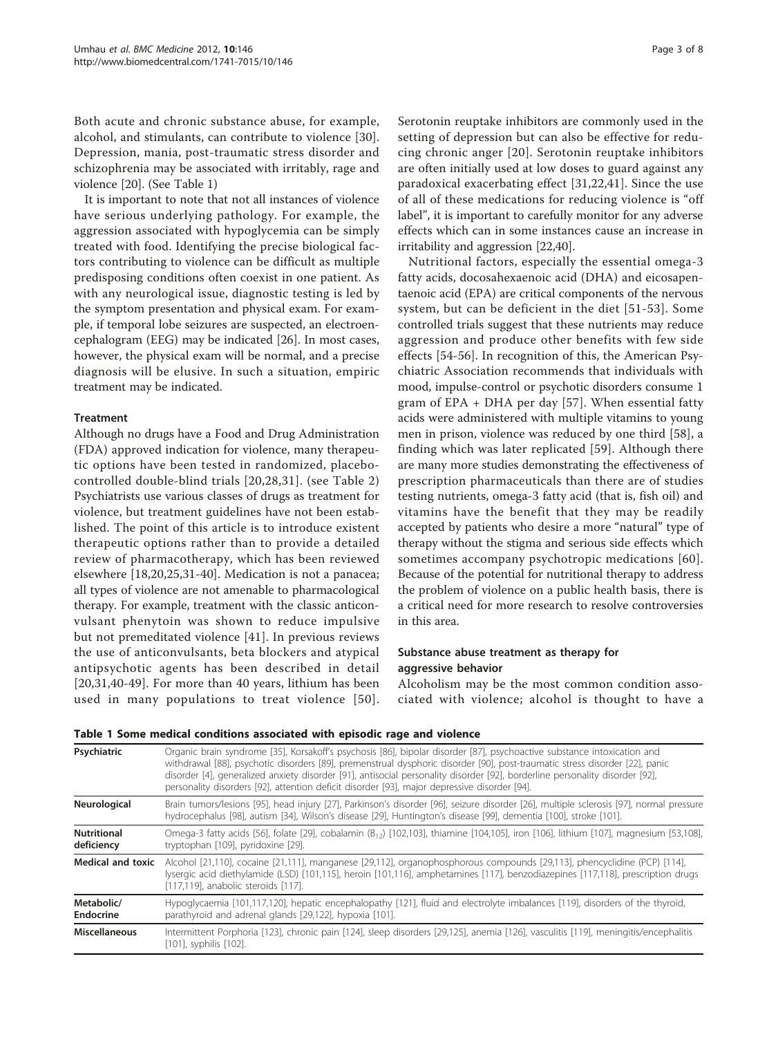Both acute and chronic substance abuse, for example, alcohol, and stimulants, can contribute to violence [[30](#page-5-0)]. Depression, mania, post-traumatic stress disorder and schizophrenia may be associated with irritably, rage and violence [[20\]](#page-5-0). (See Table 1)

It is important to note that not all instances of violence have serious underlying pathology. For example, the aggression associated with hypoglycemia can be simply treated with food. Identifying the precise biological factors contributing to violence can be difficult as multiple predisposing conditions often coexist in one patient. As with any neurological issue, diagnostic testing is led by the symptom presentation and physical exam. For example, if temporal lobe seizures are suspected, an electroencephalogram (EEG) may be indicated [[26\]](#page-5-0). In most cases, however, the physical exam will be normal, and a precise diagnosis will be elusive. In such a situation, empiric treatment may be indicated.

# **Treatment**

Although no drugs have a Food and Drug Administration (FDA) approved indication for violence, many therapeutic options have been tested in randomized, placebocontrolled double-blind trials [\[20,28](#page-5-0),[31](#page-5-0)]. (see Table [2](#page-3-0)) Psychiatrists use various classes of drugs as treatment for violence, but treatment guidelines have not been established. The point of this article is to introduce existent therapeutic options rather than to provide a detailed review of pharmacotherapy, which has been reviewed elsewhere [\[18,20](#page-5-0),[25,31-40](#page-5-0)]. Medication is not a panacea; all types of violence are not amenable to pharmacological therapy. For example, treatment with the classic anticonvulsant phenytoin was shown to reduce impulsive but not premeditated violence [[41](#page-5-0)]. In previous reviews the use of anticonvulsants, beta blockers and atypical antipsychotic agents has been described in detail [[20,31](#page-5-0),[40-](#page-5-0)[49\]](#page-6-0). For more than 40 years, lithium has been used in many populations to treat violence [[50\]](#page-6-0).

Serotonin reuptake inhibitors are commonly used in the setting of depression but can also be effective for reducing chronic anger [[20](#page-5-0)]. Serotonin reuptake inhibitors are often initially used at low doses to guard against any paradoxical exacerbating effect [\[31](#page-5-0),[22,41](#page-5-0)]. Since the use of all of these medications for reducing violence is "off label", it is important to carefully monitor for any adverse effects which can in some instances cause an increase in irritability and aggression [[22,40](#page-5-0)].

Nutritional factors, especially the essential omega-3 fatty acids, docosahexaenoic acid (DHA) and eicosapentaenoic acid (EPA) are critical components of the nervous system, but can be deficient in the diet [[51-53](#page-6-0)]. Some controlled trials suggest that these nutrients may reduce aggression and produce other benefits with few side effects [\[54](#page-6-0)-[56\]](#page-6-0). In recognition of this, the American Psychiatric Association recommends that individuals with mood, impulse-control or psychotic disorders consume 1 gram of EPA + DHA per day [[57\]](#page-6-0). When essential fatty acids were administered with multiple vitamins to young men in prison, violence was reduced by one third [[58\]](#page-6-0), a finding which was later replicated [[59](#page-6-0)]. Although there are many more studies demonstrating the effectiveness of prescription pharmaceuticals than there are of studies testing nutrients, omega-3 fatty acid (that is, fish oil) and vitamins have the benefit that they may be readily accepted by patients who desire a more "natural" type of therapy without the stigma and serious side effects which sometimes accompany psychotropic medications [[60\]](#page-6-0). Because of the potential for nutritional therapy to address the problem of violence on a public health basis, there is a critical need for more research to resolve controversies in this area.

# Substance abuse treatment as therapy for aggressive behavior

Alcoholism may be the most common condition associated with violence; alcohol is thought to have a

| Psychiatric                      | Organic brain syndrome [35], Korsakoff's psychosis [86], bipolar disorder [87], psychoactive substance intoxication and<br>withdrawal [88], psychotic disorders [89], premenstrual dysphoric disorder [90], post-traumatic stress disorder [22], panic<br>disorder [4], generalized anxiety disorder [91], antisocial personality disorder [92], borderline personality disorder [92],<br>personality disorders [92], attention deficit disorder [93], major depressive disorder [94]. |
|----------------------------------|----------------------------------------------------------------------------------------------------------------------------------------------------------------------------------------------------------------------------------------------------------------------------------------------------------------------------------------------------------------------------------------------------------------------------------------------------------------------------------------|
| Neurological                     | Brain tumors/lesions [95], head injury [27], Parkinson's disorder [96], seizure disorder [26], multiple sclerosis [97], normal pressure<br>hydrocephalus [98], autism [34], Wilson's disease [29], Huntington's disease [99], dementia [100], stroke [101].                                                                                                                                                                                                                            |
| <b>Nutritional</b><br>deficiency | Omega-3 fatty acids [56], folate [29], cobalamin (B <sub>12</sub> ) [102,103], thiamine [104,105], iron [106], lithium [107], magnesium [53,108],<br>tryptophan [109], pyridoxine [29].                                                                                                                                                                                                                                                                                                |
| <b>Medical and toxic</b>         | Alcohol [21,110], cocaine [21,111], manganese [29,112], organophosphorous compounds [29,113], phencyclidine (PCP) [114],<br>lysergic acid diethylamide (LSD) [101,115], heroin [101,116], amphetamines [117], benzodiazepines [117,118], prescription drugs<br>[117.119], anabolic steroids [117].                                                                                                                                                                                     |
| Metabolic/<br>Endocrine          | Hypoglycaemia [101,117,120], hepatic encephalopathy [121], fluid and electrolyte imbalances [119], disorders of the thyroid,<br>parathyroid and adrenal glands [29,122], hypoxia [101].                                                                                                                                                                                                                                                                                                |
| <b>Miscellaneous</b>             | Intermittent Porphoria [123], chronic pain [124], sleep disorders [29,125], anemia [126], vasculitis [119], meningitis/encephalitis<br>[101], syphilis [102].                                                                                                                                                                                                                                                                                                                          |

Table 1 Some medical conditions associated with episodic rage and violence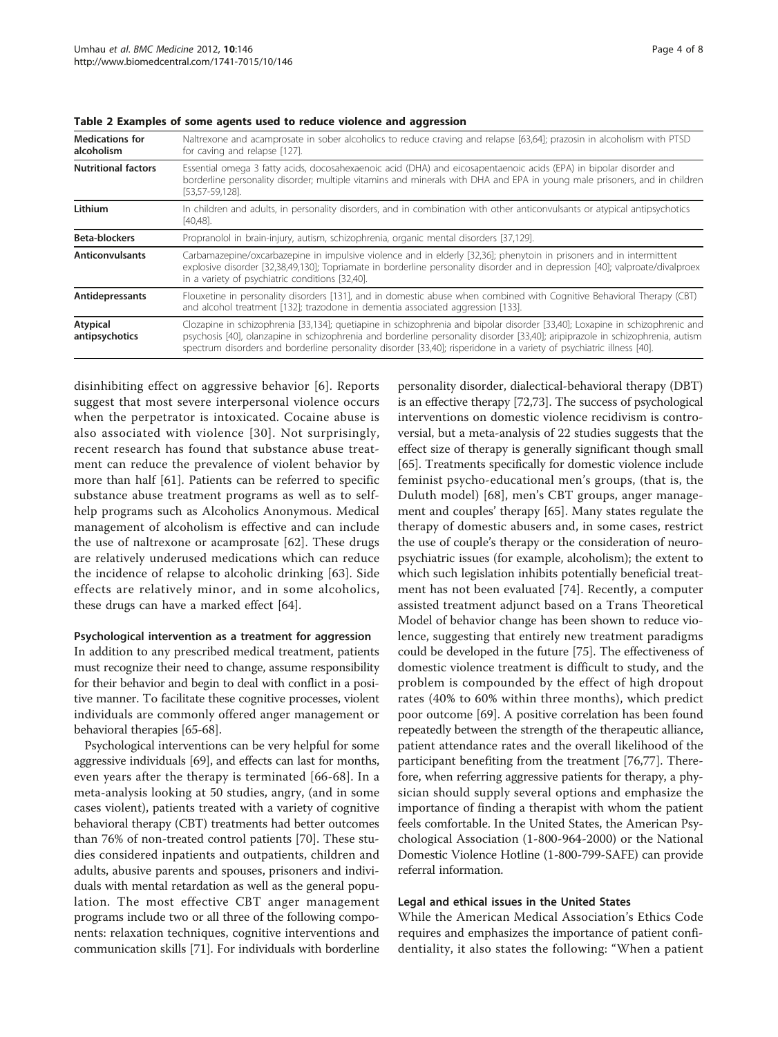| <b>Medications for</b><br>alcoholism | Naltrexone and acamprosate in sober alcoholics to reduce craving and relapse [63,64]; prazosin in alcoholism with PTSD<br>for caving and relapse [127].                                                                                                                                                                                                                                 |
|--------------------------------------|-----------------------------------------------------------------------------------------------------------------------------------------------------------------------------------------------------------------------------------------------------------------------------------------------------------------------------------------------------------------------------------------|
| <b>Nutritional factors</b>           | Essential omega 3 fatty acids, docosahexaenoic acid (DHA) and eicosapentaenoic acids (EPA) in bipolar disorder and<br>borderline personality disorder; multiple vitamins and minerals with DHA and EPA in young male prisoners, and in children<br>$[53, 57 - 59, 128]$ .                                                                                                               |
| Lithium                              | In children and adults, in personality disorders, and in combination with other anticonvulsants or atypical antipsychotics<br>$[40, 48]$ .                                                                                                                                                                                                                                              |
| <b>Beta-blockers</b>                 | Propranolol in brain-injury, autism, schizophrenia, organic mental disorders [37,129].                                                                                                                                                                                                                                                                                                  |
| <b>Anticonvulsants</b>               | Carbamazepine/oxcarbazepine in impulsive violence and in elderly [32,36]; phenytoin in prisoners and in intermittent<br>explosive disorder [32,38,49,130]; Topriamate in borderline personality disorder and in depression [40]; valproate/divalproex<br>in a variety of psychiatric conditions [32,40].                                                                                |
| Antidepressants                      | Flouxetine in personality disorders [131], and in domestic abuse when combined with Cognitive Behavioral Therapy (CBT)<br>and alcohol treatment [132]; trazodone in dementia associated aggression [133].                                                                                                                                                                               |
| Atypical<br>antipsychotics           | Clozapine in schizophrenia [33,134]; guetiapine in schizophrenia and bipolar disorder [33,40]; Loxapine in schizophrenic and<br>psychosis [40], olanzapine in schizophrenia and borderline personality disorder [33,40]; aripiprazole in schizophrenia, autism<br>spectrum disorders and borderline personality disorder [33,40]; risperidone in a variety of psychiatric illness [40]. |

<span id="page-3-0"></span>Table 2 Examples of some agents used to reduce violence and aggression

disinhibiting effect on aggressive behavior [[6\]](#page-5-0). Reports suggest that most severe interpersonal violence occurs when the perpetrator is intoxicated. Cocaine abuse is also associated with violence [[30](#page-5-0)]. Not surprisingly, recent research has found that substance abuse treatment can reduce the prevalence of violent behavior by more than half [[61\]](#page-6-0). Patients can be referred to specific substance abuse treatment programs as well as to selfhelp programs such as Alcoholics Anonymous. Medical management of alcoholism is effective and can include the use of naltrexone or acamprosate [\[62](#page-6-0)]. These drugs are relatively underused medications which can reduce the incidence of relapse to alcoholic drinking [\[63](#page-6-0)]. Side effects are relatively minor, and in some alcoholics, these drugs can have a marked effect [[64](#page-6-0)].

### Psychological intervention as a treatment for aggression

In addition to any prescribed medical treatment, patients must recognize their need to change, assume responsibility for their behavior and begin to deal with conflict in a positive manner. To facilitate these cognitive processes, violent individuals are commonly offered anger management or behavioral therapies [[65](#page-6-0)-[68](#page-6-0)].

Psychological interventions can be very helpful for some aggressive individuals [\[69\]](#page-6-0), and effects can last for months, even years after the therapy is terminated [[66](#page-6-0)-[68](#page-6-0)]. In a meta-analysis looking at 50 studies, angry, (and in some cases violent), patients treated with a variety of cognitive behavioral therapy (CBT) treatments had better outcomes than 76% of non-treated control patients [\[70](#page-6-0)]. These studies considered inpatients and outpatients, children and adults, abusive parents and spouses, prisoners and individuals with mental retardation as well as the general population. The most effective CBT anger management programs include two or all three of the following components: relaxation techniques, cognitive interventions and communication skills [\[71](#page-6-0)]. For individuals with borderline

personality disorder, dialectical-behavioral therapy (DBT) is an effective therapy [\[72,73](#page-6-0)]. The success of psychological interventions on domestic violence recidivism is controversial, but a meta-analysis of 22 studies suggests that the effect size of therapy is generally significant though small [[65](#page-6-0)]. Treatments specifically for domestic violence include feminist psycho-educational men's groups, (that is, the Duluth model) [\[68\]](#page-6-0), men's CBT groups, anger management and couples' therapy [[65\]](#page-6-0). Many states regulate the therapy of domestic abusers and, in some cases, restrict the use of couple's therapy or the consideration of neuropsychiatric issues (for example, alcoholism); the extent to which such legislation inhibits potentially beneficial treatment has not been evaluated [\[74](#page-6-0)]. Recently, a computer assisted treatment adjunct based on a Trans Theoretical Model of behavior change has been shown to reduce violence, suggesting that entirely new treatment paradigms could be developed in the future [\[75](#page-6-0)]. The effectiveness of domestic violence treatment is difficult to study, and the problem is compounded by the effect of high dropout rates (40% to 60% within three months), which predict poor outcome [[69\]](#page-6-0). A positive correlation has been found repeatedly between the strength of the therapeutic alliance, patient attendance rates and the overall likelihood of the participant benefiting from the treatment [\[76,77](#page-6-0)]. Therefore, when referring aggressive patients for therapy, a physician should supply several options and emphasize the importance of finding a therapist with whom the patient feels comfortable. In the United States, the American Psychological Association (1-800-964-2000) or the National Domestic Violence Hotline (1-800-799-SAFE) can provide referral information.

### Legal and ethical issues in the United States

While the American Medical Association's Ethics Code requires and emphasizes the importance of patient confidentiality, it also states the following: "When a patient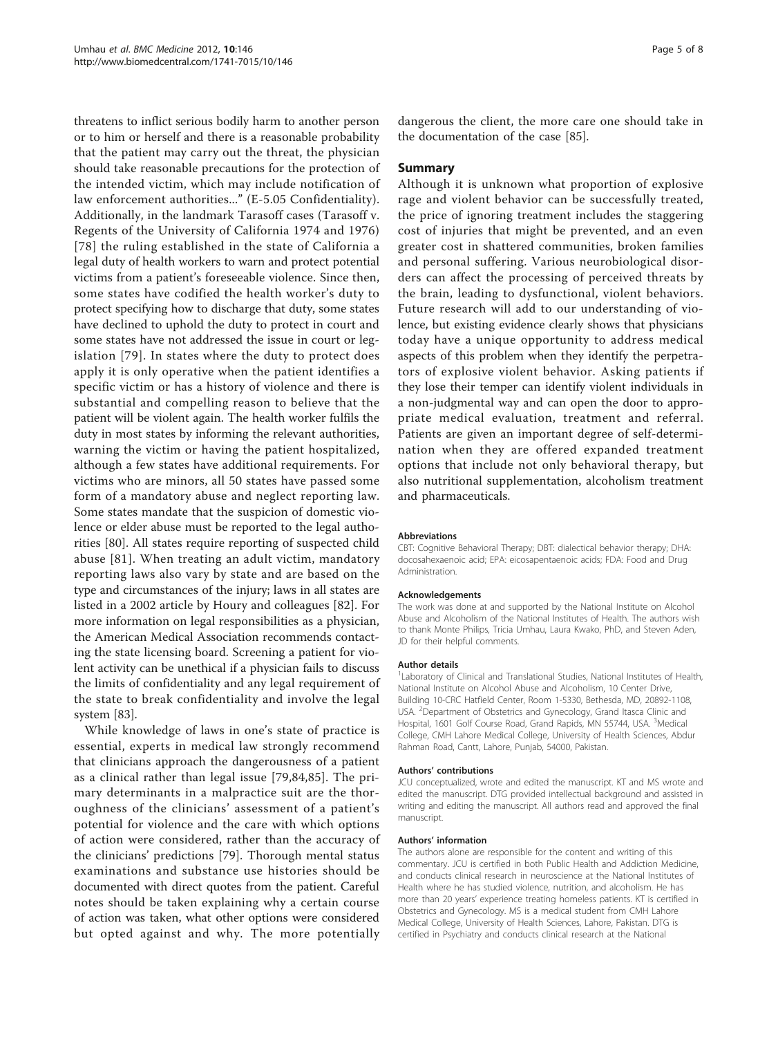threatens to inflict serious bodily harm to another person or to him or herself and there is a reasonable probability that the patient may carry out the threat, the physician should take reasonable precautions for the protection of the intended victim, which may include notification of law enforcement authorities..." (E-5.05 Confidentiality). Additionally, in the landmark Tarasoff cases (Tarasoff v. Regents of the University of California 1974 and 1976) [[78\]](#page-6-0) the ruling established in the state of California a legal duty of health workers to warn and protect potential victims from a patient's foreseeable violence. Since then, some states have codified the health worker's duty to protect specifying how to discharge that duty, some states have declined to uphold the duty to protect in court and some states have not addressed the issue in court or legislation [[79](#page-6-0)]. In states where the duty to protect does apply it is only operative when the patient identifies a specific victim or has a history of violence and there is substantial and compelling reason to believe that the patient will be violent again. The health worker fulfils the duty in most states by informing the relevant authorities, warning the victim or having the patient hospitalized, although a few states have additional requirements. For victims who are minors, all 50 states have passed some form of a mandatory abuse and neglect reporting law. Some states mandate that the suspicion of domestic violence or elder abuse must be reported to the legal authorities [\[80](#page-6-0)]. All states require reporting of suspected child abuse [[81](#page-6-0)]. When treating an adult victim, mandatory reporting laws also vary by state and are based on the type and circumstances of the injury; laws in all states are listed in a 2002 article by Houry and colleagues [\[82](#page-6-0)]. For more information on legal responsibilities as a physician, the American Medical Association recommends contacting the state licensing board. Screening a patient for violent activity can be unethical if a physician fails to discuss the limits of confidentiality and any legal requirement of the state to break confidentiality and involve the legal system [\[83\]](#page-6-0).

While knowledge of laws in one's state of practice is essential, experts in medical law strongly recommend that clinicians approach the dangerousness of a patient as a clinical rather than legal issue [[79](#page-6-0),[84,85\]](#page-6-0). The primary determinants in a malpractice suit are the thoroughness of the clinicians' assessment of a patient's potential for violence and the care with which options of action were considered, rather than the accuracy of the clinicians' predictions [[79\]](#page-6-0). Thorough mental status examinations and substance use histories should be documented with direct quotes from the patient. Careful notes should be taken explaining why a certain course of action was taken, what other options were considered but opted against and why. The more potentially dangerous the client, the more care one should take in the documentation of the case [\[85\]](#page-6-0).

# Summary

Although it is unknown what proportion of explosive rage and violent behavior can be successfully treated, the price of ignoring treatment includes the staggering cost of injuries that might be prevented, and an even greater cost in shattered communities, broken families and personal suffering. Various neurobiological disorders can affect the processing of perceived threats by the brain, leading to dysfunctional, violent behaviors. Future research will add to our understanding of violence, but existing evidence clearly shows that physicians today have a unique opportunity to address medical aspects of this problem when they identify the perpetrators of explosive violent behavior. Asking patients if they lose their temper can identify violent individuals in a non-judgmental way and can open the door to appropriate medical evaluation, treatment and referral. Patients are given an important degree of self-determination when they are offered expanded treatment options that include not only behavioral therapy, but also nutritional supplementation, alcoholism treatment and pharmaceuticals.

#### Abbreviations

CBT: Cognitive Behavioral Therapy; DBT: dialectical behavior therapy; DHA: docosahexaenoic acid; EPA: eicosapentaenoic acids; FDA: Food and Drug Administration.

#### Acknowledgements

The work was done at and supported by the National Institute on Alcohol Abuse and Alcoholism of the National Institutes of Health. The authors wish to thank Monte Philips, Tricia Umhau, Laura Kwako, PhD, and Steven Aden, JD for their helpful comments.

#### Author details

<sup>1</sup> Laboratory of Clinical and Translational Studies, National Institutes of Health, National Institute on Alcohol Abuse and Alcoholism, 10 Center Drive, Building 10-CRC Hatfield Center, Room 1-5330, Bethesda, MD, 20892-1108, USA. <sup>2</sup>Department of Obstetrics and Gynecology, Grand Itasca Clinic and Hospital, 1601 Golf Course Road, Grand Rapids, MN 55744, USA. <sup>3</sup>Medical College, CMH Lahore Medical College, University of Health Sciences, Abdur Rahman Road, Cantt, Lahore, Punjab, 54000, Pakistan.

#### Authors' contributions

JCU conceptualized, wrote and edited the manuscript. KT and MS wrote and edited the manuscript. DTG provided intellectual background and assisted in writing and editing the manuscript. All authors read and approved the final manuscript.

#### Authors' information

The authors alone are responsible for the content and writing of this commentary. JCU is certified in both Public Health and Addiction Medicine, and conducts clinical research in neuroscience at the National Institutes of Health where he has studied violence, nutrition, and alcoholism. He has more than 20 years' experience treating homeless patients. KT is certified in Obstetrics and Gynecology. MS is a medical student from CMH Lahore Medical College, University of Health Sciences, Lahore, Pakistan. DTG is certified in Psychiatry and conducts clinical research at the National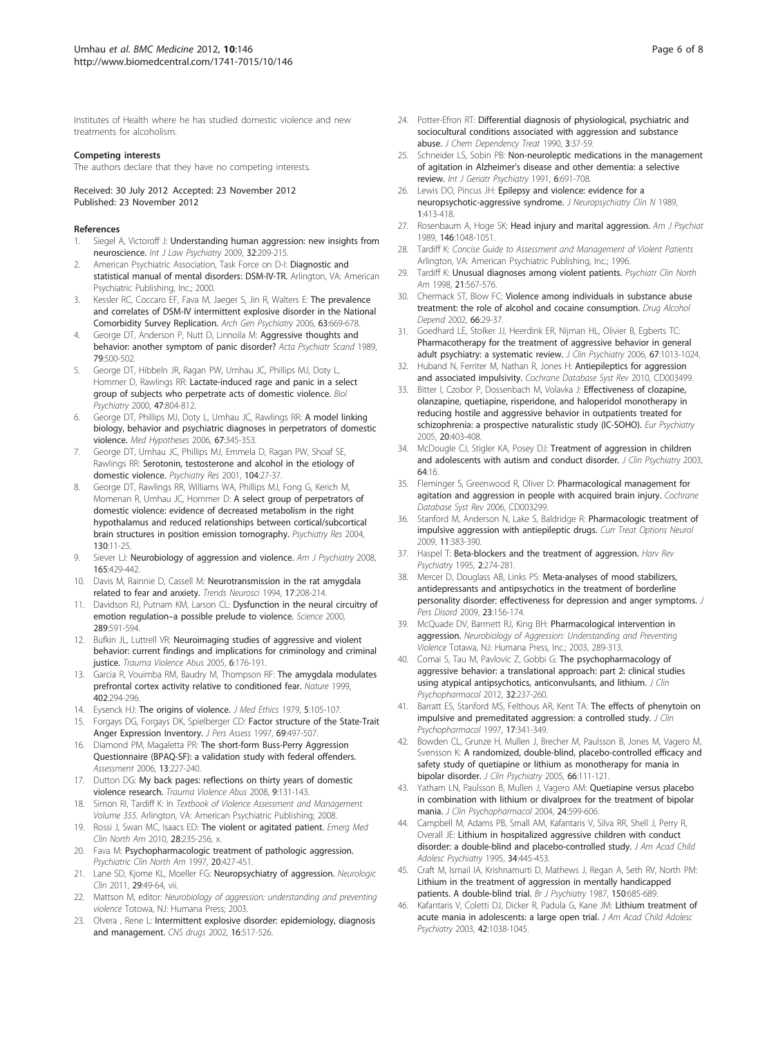<span id="page-5-0"></span>Institutes of Health where he has studied domestic violence and new treatments for alcoholism.

#### Competing interests

The authors declare that they have no competing interests.

Received: 30 July 2012 Accepted: 23 November 2012 Published: 23 November 2012

#### References

- 1. Siegel A, Victoroff J: [Understanding human aggression: new insights from](http://www.ncbi.nlm.nih.gov/pubmed/19596153?dopt=Abstract) [neuroscience.](http://www.ncbi.nlm.nih.gov/pubmed/19596153?dopt=Abstract) Int J Law Psychiatry 2009, 32:209-215.
- 2. American Psychiatric Association, Task Force on D-I: Diagnostic and statistical manual of mental disorders: DSM-IV-TR. Arlington, VA: American Psychiatric Publishing, Inc.; 2000.
- Kessler RC, Coccaro EF, Fava M, Jaeger S, Jin R, Walters E: [The prevalence](http://www.ncbi.nlm.nih.gov/pubmed/16754840?dopt=Abstract) [and correlates of DSM-IV intermittent explosive disorder in the National](http://www.ncbi.nlm.nih.gov/pubmed/16754840?dopt=Abstract) [Comorbidity Survey Replication.](http://www.ncbi.nlm.nih.gov/pubmed/16754840?dopt=Abstract) Arch Gen Psychiatry 2006, 63:669-678.
- 4. George DT, Anderson P, Nutt D, Linnoila M: [Aggressive thoughts and](http://www.ncbi.nlm.nih.gov/pubmed/2750551?dopt=Abstract) [behavior: another symptom of panic disorder?](http://www.ncbi.nlm.nih.gov/pubmed/2750551?dopt=Abstract) Acta Psychiatr Scand 1989, 79:500-502.
- 5. George DT, Hibbeln JR, Ragan PW, Umhau JC, Phillips MJ, Doty L, Hommer D, Rawlings RR: [Lactate-induced rage and panic in a select](http://www.ncbi.nlm.nih.gov/pubmed/10812039?dopt=Abstract) [group of subjects who perpetrate acts of domestic violence.](http://www.ncbi.nlm.nih.gov/pubmed/10812039?dopt=Abstract) Biol Psychiatry 2000, 47:804-812.
- 6. George DT, Phillips MJ, Doty L, Umhau JC, Rawlings RR: [A model linking](http://www.ncbi.nlm.nih.gov/pubmed/16580153?dopt=Abstract) [biology, behavior and psychiatric diagnoses in perpetrators of domestic](http://www.ncbi.nlm.nih.gov/pubmed/16580153?dopt=Abstract) [violence.](http://www.ncbi.nlm.nih.gov/pubmed/16580153?dopt=Abstract) Med Hypotheses 2006, 67:345-353.
- George DT, Umhau JC, Phillips MJ, Emmela D, Ragan PW, Shoaf SE, Rawlings RR: [Serotonin, testosterone and alcohol in the etiology of](http://www.ncbi.nlm.nih.gov/pubmed/11600187?dopt=Abstract) [domestic violence.](http://www.ncbi.nlm.nih.gov/pubmed/11600187?dopt=Abstract) Psychiatry Res 2001, 104:27-37.
- 8. George DT, Rawlings RR, Williams WA, Phillips MJ, Fong G, Kerich M, Momenan R, Umhau JC, Hommer D: [A select group of perpetrators of](http://www.ncbi.nlm.nih.gov/pubmed/14972365?dopt=Abstract) [domestic violence: evidence of decreased metabolism in the right](http://www.ncbi.nlm.nih.gov/pubmed/14972365?dopt=Abstract) [hypothalamus and reduced relationships between cortical/subcortical](http://www.ncbi.nlm.nih.gov/pubmed/14972365?dopt=Abstract) [brain structures in position emission tomography.](http://www.ncbi.nlm.nih.gov/pubmed/14972365?dopt=Abstract) Psychiatry Res 2004, 130:11-25.
- 9. Siever LJ: [Neurobiology of aggression and violence.](http://www.ncbi.nlm.nih.gov/pubmed/18346997?dopt=Abstract) Am J Psychiatry 2008, 165:429-442.
- 10. Davis M, Rainnie D, Cassell M: [Neurotransmission in the rat amygdala](http://www.ncbi.nlm.nih.gov/pubmed/7520203?dopt=Abstract) [related to fear and anxiety.](http://www.ncbi.nlm.nih.gov/pubmed/7520203?dopt=Abstract) Trends Neurosci 1994, 17:208-214.
- 11. Davidson RJ, Putnam KM, Larson CL: [Dysfunction in the neural circuitry of](http://www.ncbi.nlm.nih.gov/pubmed/10915615?dopt=Abstract) emotion regulation–[a possible prelude to violence.](http://www.ncbi.nlm.nih.gov/pubmed/10915615?dopt=Abstract) Science 2000, 289:591-594.
- 12. Bufkin JL, Luttrell VR: Neuroimaging studies of aggressive and violent behavior: current findings and implications for criminology and criminal justice. Trauma Violence Abus 2005, 6:176-191.
- 13. Garcia R, Vouimba RM, Baudry M, Thompson RF: [The amygdala modulates](http://www.ncbi.nlm.nih.gov/pubmed/10580500?dopt=Abstract) [prefrontal cortex activity relative to conditioned fear.](http://www.ncbi.nlm.nih.gov/pubmed/10580500?dopt=Abstract) Nature 1999, 402:294-296.
- 14. Eysenck HJ: [The origins of violence.](http://www.ncbi.nlm.nih.gov/pubmed/490568?dopt=Abstract) J Med Ethics 1979, 5:105-107.
- 15. Forgays DG, Forgays DK, Spielberger CD: [Factor structure of the State-Trait](http://www.ncbi.nlm.nih.gov/pubmed/9501480?dopt=Abstract) [Anger Expression Inventory.](http://www.ncbi.nlm.nih.gov/pubmed/9501480?dopt=Abstract) J Pers Assess 1997, 69:497-507.
- 16. Diamond PM, Magaletta PR: [The short-form Buss-Perry Aggression](http://www.ncbi.nlm.nih.gov/pubmed/16880276?dopt=Abstract) [Questionnaire \(BPAQ-SF\): a validation study with federal offenders.](http://www.ncbi.nlm.nih.gov/pubmed/16880276?dopt=Abstract) Assessment 2006, 13:227-240.
- 17. Dutton DG: My back pages: reflections on thirty years of domestic violence research. Trauma Violence Abus 2008, 9:131-143.
- 18. Simon RI, Tardiff K: In Textbook of Violence Assessment and Management. Volume 355. Arlington, VA: American Psychiatric Publishing; 2008.
- 19. Rossi J, Swan MC, Isaacs ED: [The violent or agitated patient.](http://www.ncbi.nlm.nih.gov/pubmed/19945609?dopt=Abstract) Emerg Med Clin North Am 2010, 28:235-256, x.
- 20. Fava M: Psychopharmacologic treatment of pathologic aggression. Psychiatric Clin North Am 1997, 20:427-451.
- 21. Lane SD, Kjome KL, Moeller FG: Neuropsychiatry of aggression. Neurologic Clin 2011, 29:49-64, vii.
- 22. Mattson M, editor: Neurobiology of aggression: understanding and preventing violence Totowa, NJ: Humana Press; 2003.
- 23. Olvera, Rene L: [Intermittent explosive disorder: epidemiology, diagnosis](http://www.ncbi.nlm.nih.gov/pubmed/12096933?dopt=Abstract) [and management.](http://www.ncbi.nlm.nih.gov/pubmed/12096933?dopt=Abstract) CNS drugs 2002, 16:517-526.

Page 6 of 8

- 24. Potter-Efron RT: Differential diagnosis of physiological, psychiatric and sociocultural conditions associated with aggression and substance abuse. J Chem Dependency Treat 1990, 3:37-59.
- 25. Schneider LS, Sobin PB: Non-neuroleptic medications in the management of agitation in Alzheimer's disease and other dementia: a selective review. Int J Geriatr Psychiatry 1991, 6:691-708.
- 26. Lewis DO, Pincus JH: Epilepsy and violence: evidence for a neuropsychotic-aggressive syndrome. J Neuropsychiatry Clin N 1989, 1:413-418.
- 27. Rosenbaum A, Hoge SK: [Head injury and marital aggression.](http://www.ncbi.nlm.nih.gov/pubmed/2750978?dopt=Abstract) Am J Psychiat 1989, 146:1048-1051.
- 28. Tardiff K: Concise Guide to Assessment and Management of Violent Patients Arlington, VA: American Psychiatric Publishing, Inc.; 1996.
- 29. Tardiff K: [Unusual diagnoses among violent patients.](http://www.ncbi.nlm.nih.gov/pubmed/9774796?dopt=Abstract) Psychiatr Clin North Am 1998, 21:567-576.
- 30. Chermack ST, Blow FC: [Violence among individuals in substance abuse](http://www.ncbi.nlm.nih.gov/pubmed/11850133?dopt=Abstract) [treatment: the role of alcohol and cocaine consumption.](http://www.ncbi.nlm.nih.gov/pubmed/11850133?dopt=Abstract) Drug Alcohol Depend 2002, 66:29-37.
- 31. Goedhard LE, Stolker JJ, Heerdink ER, Nijman HL, Olivier B, Egberts TC: [Pharmacotherapy for the treatment of aggressive behavior in general](http://www.ncbi.nlm.nih.gov/pubmed/16889443?dopt=Abstract) [adult psychiatry: a systematic review.](http://www.ncbi.nlm.nih.gov/pubmed/16889443?dopt=Abstract) J Clin Psychiatry 2006, 67:1013-1024.
- 32. Huband N, Ferriter M, Nathan R, Jones H: Antiepileptics for aggression and associated impulsivity. Cochrane Database Syst Rev 2010, CD003499.
- 33. Bitter I, Czobor P, Dossenbach M, Volavka J: [Effectiveness of clozapine,](http://www.ncbi.nlm.nih.gov/pubmed/16084068?dopt=Abstract) [olanzapine, quetiapine, risperidone, and haloperidol monotherapy in](http://www.ncbi.nlm.nih.gov/pubmed/16084068?dopt=Abstract) [reducing hostile and aggressive behavior in outpatients treated for](http://www.ncbi.nlm.nih.gov/pubmed/16084068?dopt=Abstract) [schizophrenia: a prospective naturalistic study \(IC-SOHO\).](http://www.ncbi.nlm.nih.gov/pubmed/16084068?dopt=Abstract) Eur Psychiatry 2005, 20:403-408.
- 34. McDougle CJ, Stigler KA, Posey DJ: [Treatment of aggression in children](http://www.ncbi.nlm.nih.gov/pubmed/12672261?dopt=Abstract) [and adolescents with autism and conduct disorder.](http://www.ncbi.nlm.nih.gov/pubmed/12672261?dopt=Abstract) J Clin Psychiatry 2003, 64:16.
- 35. Fleminger S, Greenwood R, Oliver D: Pharmacological management for agitation and aggression in people with acquired brain injury. Cochrane Database Syst Rev 2006, CD003299.
- Stanford M, Anderson N, Lake S, Baldridge R: [Pharmacologic treatment of](http://www.ncbi.nlm.nih.gov/pubmed/19744405?dopt=Abstract) [impulsive aggression with antiepileptic drugs.](http://www.ncbi.nlm.nih.gov/pubmed/19744405?dopt=Abstract) Curr Treat Options Neurol 2009, 11:383-390.
- 37. Haspel T: [Beta-blockers and the treatment of aggression.](http://www.ncbi.nlm.nih.gov/pubmed/9384911?dopt=Abstract) Harv Rev Psychiatry 1995, 2:274-281.
- 38. Mercer D, Douglass AB, Links PS: [Meta-analyses of mood stabilizers,](http://www.ncbi.nlm.nih.gov/pubmed/19379093?dopt=Abstract) [antidepressants and antipsychotics in the treatment of borderline](http://www.ncbi.nlm.nih.gov/pubmed/19379093?dopt=Abstract) [personality disorder: effectiveness for depression and anger symptoms.](http://www.ncbi.nlm.nih.gov/pubmed/19379093?dopt=Abstract) J Pers Disord 2009, 23:156-174.
- 39. McQuade DV, Barrnett RJ, King BH: Pharmacological intervention in aggression. Neurobiology of Aggression: Understanding and Preventing Violence Totawa, NJ: Humana Press, Inc.; 2003, 289-313.
- 40. Comai S, Tau M, Pavlovic Z, Gobbi G: [The psychopharmacology of](http://www.ncbi.nlm.nih.gov/pubmed/22367663?dopt=Abstract) [aggressive behavior: a translational approach: part 2: clinical studies](http://www.ncbi.nlm.nih.gov/pubmed/22367663?dopt=Abstract) [using atypical antipsychotics, anticonvulsants, and lithium.](http://www.ncbi.nlm.nih.gov/pubmed/22367663?dopt=Abstract) J Clin Psychopharmacol 2012, 32:237-260.
- 41. Barratt ES, Stanford MS, Felthous AR, Kent TA: [The effects of phenytoin on](http://www.ncbi.nlm.nih.gov/pubmed/9315984?dopt=Abstract) [impulsive and premeditated aggression: a controlled study.](http://www.ncbi.nlm.nih.gov/pubmed/9315984?dopt=Abstract) J Clin Psychopharmacol 1997, 17:341-349.
- 42. Bowden CL, Grunze H, Mullen J, Brecher M, Paulsson B, Jones M, Vagero M, Svensson K: [A randomized, double-blind, placebo-controlled efficacy and](http://www.ncbi.nlm.nih.gov/pubmed/15669897?dopt=Abstract) [safety study of quetiapine or lithium as monotherapy for mania in](http://www.ncbi.nlm.nih.gov/pubmed/15669897?dopt=Abstract) [bipolar disorder.](http://www.ncbi.nlm.nih.gov/pubmed/15669897?dopt=Abstract) J Clin Psychiatry 2005, 66:111-121.
- Yatham LN, Paulsson B, Mullen J, Vagero AM: [Quetiapine versus placebo](http://www.ncbi.nlm.nih.gov/pubmed/15538120?dopt=Abstract) [in combination with lithium or divalproex for the treatment of bipolar](http://www.ncbi.nlm.nih.gov/pubmed/15538120?dopt=Abstract) [mania.](http://www.ncbi.nlm.nih.gov/pubmed/15538120?dopt=Abstract) J Clin Psychopharmacol 2004, 24:599-606.
- 44. Campbell M, Adams PB, Small AM, Kafantaris V, Silva RR, Shell J, Perry R, Overall JE: [Lithium in hospitalized aggressive children with conduct](http://www.ncbi.nlm.nih.gov/pubmed/7751258?dopt=Abstract) [disorder: a double-blind and placebo-controlled study.](http://www.ncbi.nlm.nih.gov/pubmed/7751258?dopt=Abstract) J Am Acad Child Adolesc Psychiatry 1995, 34:445-453.
- 45. Craft M, Ismail IA, Krishnamurti D, Mathews J, Regan A, Seth RV, North PM: [Lithium in the treatment of aggression in mentally handicapped](http://www.ncbi.nlm.nih.gov/pubmed/3115350?dopt=Abstract) [patients. A double-blind trial.](http://www.ncbi.nlm.nih.gov/pubmed/3115350?dopt=Abstract) Br J Psychiatry 1987, 150:685-689.
- Kafantaris V, Coletti DJ, Dicker R, Padula G, Kane JM: [Lithium treatment of](http://www.ncbi.nlm.nih.gov/pubmed/12960703?dopt=Abstract) [acute mania in adolescents: a large open trial.](http://www.ncbi.nlm.nih.gov/pubmed/12960703?dopt=Abstract) J Am Acad Child Adolesc Psychiatry 2003, 42:1038-1045.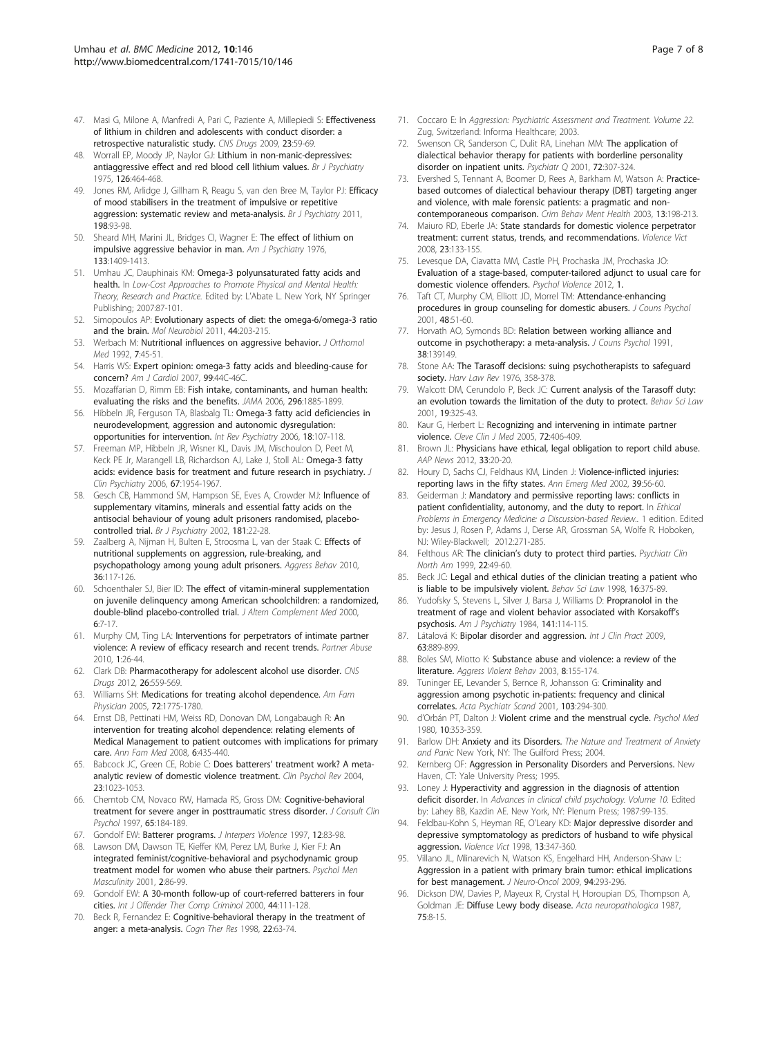- <span id="page-6-0"></span>47. Masi G, Milone A, Manfredi A, Pari C, Paziente A, Millepiedi S: [Effectiveness](http://www.ncbi.nlm.nih.gov/pubmed/19062775?dopt=Abstract) [of lithium in children and adolescents with conduct disorder: a](http://www.ncbi.nlm.nih.gov/pubmed/19062775?dopt=Abstract) [retrospective naturalistic study.](http://www.ncbi.nlm.nih.gov/pubmed/19062775?dopt=Abstract) CNS Drugs 2009, 23:59-69.
- 48. Worrall EP, Moody JP, Naylor GJ: [Lithium in non-manic-depressives:](http://www.ncbi.nlm.nih.gov/pubmed/1092398?dopt=Abstract) [antiaggressive effect and red blood cell lithium values.](http://www.ncbi.nlm.nih.gov/pubmed/1092398?dopt=Abstract) Br J Psychiatry 1975, 126:464-468.
- 49. Jones RM, Arlidge J, Gillham R, Reagu S, van den Bree M, Taylor PJ: [Efficacy](http://www.ncbi.nlm.nih.gov/pubmed/21282779?dopt=Abstract) [of mood stabilisers in the treatment of impulsive or repetitive](http://www.ncbi.nlm.nih.gov/pubmed/21282779?dopt=Abstract) [aggression: systematic review and meta-analysis.](http://www.ncbi.nlm.nih.gov/pubmed/21282779?dopt=Abstract) Br J Psychiatry 2011, 198:93-98.
- 50. Sheard MH, Marini JL, Bridges CI, Wagner E: [The effect of lithium on](http://www.ncbi.nlm.nih.gov/pubmed/984241?dopt=Abstract) [impulsive aggressive behavior in man.](http://www.ncbi.nlm.nih.gov/pubmed/984241?dopt=Abstract) Am J Psychiatry 1976, 133:1409-1413.
- 51. Umhau JC, Dauphinais KM: Omega-3 polyunsaturated fatty acids and health. In Low-Cost Approaches to Promote Physical and Mental Health: Theory, Research and Practice. Edited by: L'Abate L. New York, NY Springer Publishing; 2007:87-101.
- 52. Simopoulos AP: [Evolutionary aspects of diet: the omega-6/omega-3 ratio](http://www.ncbi.nlm.nih.gov/pubmed/21279554?dopt=Abstract) [and the brain.](http://www.ncbi.nlm.nih.gov/pubmed/21279554?dopt=Abstract) Mol Neurobiol 2011, 44:203-215.
- 53. Werbach M: Nutritional influences on aggressive behavior. J Orthomol Med 1992, 7:45-51.
- 54. Harris WS: [Expert opinion: omega-3 fatty acids and bleeding-cause for](http://www.ncbi.nlm.nih.gov/pubmed/17368278?dopt=Abstract) [concern?](http://www.ncbi.nlm.nih.gov/pubmed/17368278?dopt=Abstract) Am J Cardiol 2007, 99:44C-46C.
- 55. Mozaffarian D, Rimm EB: [Fish intake, contaminants, and human health:](http://www.ncbi.nlm.nih.gov/pubmed/17047219?dopt=Abstract) [evaluating the risks and the benefits.](http://www.ncbi.nlm.nih.gov/pubmed/17047219?dopt=Abstract) JAMA 2006, 296:1885-1899.
- 56. Hibbeln JR, Ferguson TA, Blasbalg TL: [Omega-3 fatty acid deficiencies in](http://www.ncbi.nlm.nih.gov/pubmed/16777665?dopt=Abstract) [neurodevelopment, aggression and autonomic dysregulation:](http://www.ncbi.nlm.nih.gov/pubmed/16777665?dopt=Abstract) [opportunities for intervention.](http://www.ncbi.nlm.nih.gov/pubmed/16777665?dopt=Abstract) Int Rev Psychiatry 2006, 18:107-118.
- 57. Freeman MP, Hibbeln JR, Wisner KL, Davis JM, Mischoulon D, Peet M, Keck PE Jr, Marangell LB, Richardson AJ, Lake J, Stoll AL: [Omega-3 fatty](http://www.ncbi.nlm.nih.gov/pubmed/17194275?dopt=Abstract) [acids: evidence basis for treatment and future research in psychiatry.](http://www.ncbi.nlm.nih.gov/pubmed/17194275?dopt=Abstract) J Clin Psychiatry 2006, 67:1954-1967.
- 58. Gesch CB, Hammond SM, Hampson SE, Eves A, Crowder MJ: [Influence of](http://www.ncbi.nlm.nih.gov/pubmed/12091259?dopt=Abstract) [supplementary vitamins, minerals and essential fatty acids on the](http://www.ncbi.nlm.nih.gov/pubmed/12091259?dopt=Abstract) [antisocial behaviour of young adult prisoners randomised, placebo](http://www.ncbi.nlm.nih.gov/pubmed/12091259?dopt=Abstract)[controlled trial.](http://www.ncbi.nlm.nih.gov/pubmed/12091259?dopt=Abstract) Br J Psychiatry 2002, 181:22-28.
- 59. Zaalberg A, Nijman H, Bulten E, Stroosma L, van der Staak C: [Effects of](http://www.ncbi.nlm.nih.gov/pubmed/20014286?dopt=Abstract) [nutritional supplements on aggression, rule-breaking, and](http://www.ncbi.nlm.nih.gov/pubmed/20014286?dopt=Abstract) [psychopathology among young adult prisoners.](http://www.ncbi.nlm.nih.gov/pubmed/20014286?dopt=Abstract) Aggress Behav 2010, 36:117-126.
- 60. Schoenthaler SJ, Bier ID: [The effect of vitamin-mineral supplementation](http://www.ncbi.nlm.nih.gov/pubmed/10706231?dopt=Abstract) [on juvenile delinquency among American schoolchildren: a randomized,](http://www.ncbi.nlm.nih.gov/pubmed/10706231?dopt=Abstract) [double-blind placebo-controlled trial.](http://www.ncbi.nlm.nih.gov/pubmed/10706231?dopt=Abstract) J Altern Complement Med 2000, 6:7-17.
- 61. Murphy CM, Ting LA: Interventions for perpetrators of intimate partner violence: A review of efficacy research and recent trends. Partner Abuse 2010, 1:26-44.
- 62. Clark DB: [Pharmacotherapy for adolescent alcohol use disorder.](http://www.ncbi.nlm.nih.gov/pubmed/22676261?dopt=Abstract) CNS Drugs 2012, 26:559-569.
- 63. Williams SH: [Medications for treating alcohol dependence.](http://www.ncbi.nlm.nih.gov/pubmed/16300039?dopt=Abstract) Am Fam Physician 2005, 72:1775-1780.
- 64. Ernst DB, Pettinati HM, Weiss RD, Donovan DM, Longabaugh R: [An](http://www.ncbi.nlm.nih.gov/pubmed/18779548?dopt=Abstract) [intervention for treating alcohol dependence: relating elements of](http://www.ncbi.nlm.nih.gov/pubmed/18779548?dopt=Abstract) [Medical Management to patient outcomes with implications for primary](http://www.ncbi.nlm.nih.gov/pubmed/18779548?dopt=Abstract) [care.](http://www.ncbi.nlm.nih.gov/pubmed/18779548?dopt=Abstract) Ann Fam Med 2008, 6:435-440.
- 65. Babcock JC, Green CE, Robie C: Does batterers' [treatment work? A meta](http://www.ncbi.nlm.nih.gov/pubmed/14729422?dopt=Abstract)[analytic review of domestic violence treatment.](http://www.ncbi.nlm.nih.gov/pubmed/14729422?dopt=Abstract) Clin Psychol Rev 2004, 23:1023-1053.
- 66. Chemtob CM, Novaco RW, Hamada RS, Gross DM: [Cognitive-behavioral](http://www.ncbi.nlm.nih.gov/pubmed/9103748?dopt=Abstract) [treatment for severe anger in posttraumatic stress disorder.](http://www.ncbi.nlm.nih.gov/pubmed/9103748?dopt=Abstract) J Consult Clin Psychol 1997, 65:184-189.
- 67. Gondolf EW: Batterer programs. J Interpers Violence 1997, 12:83-98.
- 68. Lawson DM, Dawson TE, Kieffer KM, Perez LM, Burke J, Kier FJ: An integrated feminist/cognitive-behavioral and psychodynamic group treatment model for women who abuse their partners. Psychol Men Masculinity 2001, 2:86-99.
- 69. Gondolf EW: A 30-month follow-up of court-referred batterers in four cities. Int J Offender Ther Comp Criminol 2000, 44:111-128
- 70. Beck R, Fernandez E: Cognitive-behavioral therapy in the treatment of anger: a meta-analysis. Cogn Ther Res 1998, 22:63-74.
- 71. Coccaro E: In Aggression: Psychiatric Assessment and Treatment. Volume 22. Zug, Switzerland: Informa Healthcare; 2003.
- 72. Swenson CR, Sanderson C, Dulit RA, Linehan MM: [The application of](http://www.ncbi.nlm.nih.gov/pubmed/11525079?dopt=Abstract) [dialectical behavior therapy for patients with borderline personality](http://www.ncbi.nlm.nih.gov/pubmed/11525079?dopt=Abstract) [disorder on inpatient units.](http://www.ncbi.nlm.nih.gov/pubmed/11525079?dopt=Abstract) Psychiatr Q 2001, 72:307-324.
- 73. Evershed S, Tennant A, Boomer D, Rees A, Barkham M, Watson A: [Practice](http://www.ncbi.nlm.nih.gov/pubmed/14654871?dopt=Abstract)[based outcomes of dialectical behaviour therapy \(DBT\) targeting anger](http://www.ncbi.nlm.nih.gov/pubmed/14654871?dopt=Abstract) [and violence, with male forensic patients: a pragmatic and non](http://www.ncbi.nlm.nih.gov/pubmed/14654871?dopt=Abstract)[contemporaneous comparison.](http://www.ncbi.nlm.nih.gov/pubmed/14654871?dopt=Abstract) Crim Behav Ment Health 2003, 13:198-213.
- 74. Maiuro RD, Eberle JA: [State standards for domestic violence perpetrator](http://www.ncbi.nlm.nih.gov/pubmed/18624086?dopt=Abstract) [treatment: current status, trends, and recommendations.](http://www.ncbi.nlm.nih.gov/pubmed/18624086?dopt=Abstract) Violence Vict 2008, 23:133-155.
- Levesque DA, Ciavatta MM, Castle PH, Prochaska JM, Prochaska JO: Evaluation of a stage-based, computer-tailored adjunct to usual care for domestic violence offenders. Psychol Violence 2012, 1.
- 76. Taft CT, Murphy CM, Elliott JD, Morrel TM: Attendance-enhancing procedures in group counseling for domestic abusers. J Couns Psychol 2001, 48:51-60.
- 77. Horvath AO, Symonds BD: Relation between working alliance and outcome in psychotherapy: a meta-analysis. J Couns Psychol 1991, 38:139149.
- 78. Stone AA: The Tarasoff decisions: suing psychotherapists to safeguard society. Harv Law Rev 1976, 358-378.
- 79. Walcott DM, Cerundolo P, Beck JC: [Current analysis of the Tarasoff duty:](http://www.ncbi.nlm.nih.gov/pubmed/11443695?dopt=Abstract) [an evolution towards the limitation of the duty to protect.](http://www.ncbi.nlm.nih.gov/pubmed/11443695?dopt=Abstract) Behav Sci Law 2001, 19:325-43.
- 80. Kaur G, Herbert L: [Recognizing and intervening in intimate partner](http://www.ncbi.nlm.nih.gov/pubmed/15929454?dopt=Abstract) [violence.](http://www.ncbi.nlm.nih.gov/pubmed/15929454?dopt=Abstract) Cleve Clin J Med 2005, 72:406-409.
- 81. Brown JL: Physicians have ethical, legal obligation to report child abuse. AAP News 2012, 33:20-20.
- 82. Houry D, Sachs CJ, Feldhaus KM, Linden J: [Violence-inflicted injuries:](http://www.ncbi.nlm.nih.gov/pubmed/11782731?dopt=Abstract) [reporting laws in the fifty states.](http://www.ncbi.nlm.nih.gov/pubmed/11782731?dopt=Abstract) Ann Emerg Med 2002, 39:56-60.
- 83. Geiderman J: Mandatory and permissive reporting laws: conflicts in patient confidentiality, autonomy, and the duty to report. In Ethical Problems in Emergency Medicine: a Discussion-based Review.. 1 edition. Edited by: Jesus J, Rosen P, Adams J, Derse AR, Grossman SA, Wolfe R. Hoboken, NJ: Wiley-Blackwell; 2012:271-285.
- 84. Felthous AR: The clinician'[s duty to protect third parties.](http://www.ncbi.nlm.nih.gov/pubmed/10083944?dopt=Abstract) Psychiatr Clin North Am 1999, 22:49-60.
- 85. Beck JC: [Legal and ethical duties of the clinician treating a patient who](http://www.ncbi.nlm.nih.gov/pubmed/9768467?dopt=Abstract) [is liable to be impulsively violent.](http://www.ncbi.nlm.nih.gov/pubmed/9768467?dopt=Abstract) Behav Sci Law 1998, 16:375-89.
- Yudofsky S, Stevens L, Silver J, Barsa J, Williams D: [Propranolol in the](http://www.ncbi.nlm.nih.gov/pubmed/6691426?dopt=Abstract) [treatment of rage and violent behavior associated with Korsakoff](http://www.ncbi.nlm.nih.gov/pubmed/6691426?dopt=Abstract)'s [psychosis.](http://www.ncbi.nlm.nih.gov/pubmed/6691426?dopt=Abstract) Am J Psychiatry 1984, 141:114-115.
- 87. Látalová K: [Bipolar disorder and aggression.](http://www.ncbi.nlm.nih.gov/pubmed/19490199?dopt=Abstract) Int J Clin Pract 2009, 63:889-899.
- 88. Boles SM, Miotto K: Substance abuse and violence: a review of the literature. Aggress Violent Behav 2003, 8:155-174.
- 89. Tuninger EE, Levander S, Bernce R, Johansson G: [Criminality and](http://www.ncbi.nlm.nih.gov/pubmed/11328244?dopt=Abstract) [aggression among psychotic in-patients: frequency and clinical](http://www.ncbi.nlm.nih.gov/pubmed/11328244?dopt=Abstract) [correlates.](http://www.ncbi.nlm.nih.gov/pubmed/11328244?dopt=Abstract) Acta Psychiatr Scand 2001, 103:294-300.
- 90. d'Orbán PT, Dalton J: [Violent crime and the menstrual cycle.](http://www.ncbi.nlm.nih.gov/pubmed/7189893?dopt=Abstract) Psychol Med 1980, 10:353-359.
- 91. Barlow DH: Anxiety and its Disorders. The Nature and Treatment of Anxiety and Panic New York, NY: The Guilford Press; 2004.
- 92. Kernberg OF: Aggression in Personality Disorders and Perversions. New Haven, CT: Yale University Press; 1995.
- Loney J: Hyperactivity and aggression in the diagnosis of attention deficit disorder. In Advances in clinical child psychology. Volume 10. Edited by: Lahey BB, Kazdin AE. New York, NY: Plenum Press; 1987:99-135.
- 94. Feldbau-Kohn S, Heyman RE, O'Leary KD: [Major depressive disorder and](http://www.ncbi.nlm.nih.gov/pubmed/10328443?dopt=Abstract) [depressive symptomatology as predictors of husband to wife physical](http://www.ncbi.nlm.nih.gov/pubmed/10328443?dopt=Abstract) [aggression.](http://www.ncbi.nlm.nih.gov/pubmed/10328443?dopt=Abstract) Violence Vict 1998, 13:347-360.
- 95. Villano JL, Mlinarevich N, Watson KS, Engelhard HH, Anderson-Shaw L: Aggression in a patient with primary brain tumor: ethical implications for best management. J Neuro-Oncol 2009, 94:293-296.
- 96. Dickson DW, Davies P, Mayeux R, Crystal H, Horoupian DS, Thompson A, Goldman JE: [Diffuse Lewy body disease.](http://www.ncbi.nlm.nih.gov/pubmed/3434218?dopt=Abstract) Acta neuropathologica 1987, 75:8-15.